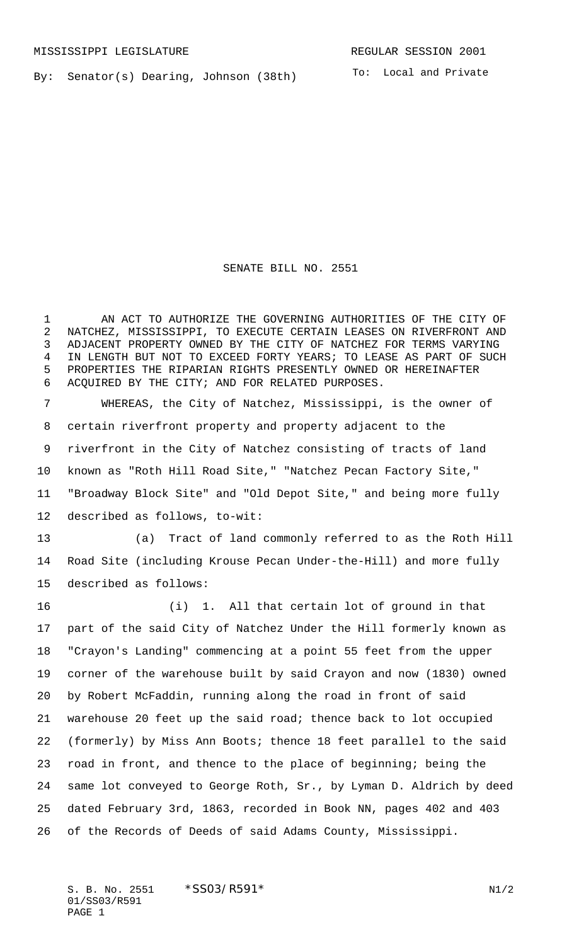By: Senator(s) Dearing, Johnson (38th)

To: Local and Private

## SENATE BILL NO. 2551

 AN ACT TO AUTHORIZE THE GOVERNING AUTHORITIES OF THE CITY OF NATCHEZ, MISSISSIPPI, TO EXECUTE CERTAIN LEASES ON RIVERFRONT AND ADJACENT PROPERTY OWNED BY THE CITY OF NATCHEZ FOR TERMS VARYING IN LENGTH BUT NOT TO EXCEED FORTY YEARS; TO LEASE AS PART OF SUCH PROPERTIES THE RIPARIAN RIGHTS PRESENTLY OWNED OR HEREINAFTER ACQUIRED BY THE CITY; AND FOR RELATED PURPOSES.

 WHEREAS, the City of Natchez, Mississippi, is the owner of certain riverfront property and property adjacent to the riverfront in the City of Natchez consisting of tracts of land known as "Roth Hill Road Site," "Natchez Pecan Factory Site," "Broadway Block Site" and "Old Depot Site," and being more fully described as follows, to-wit:

 (a) Tract of land commonly referred to as the Roth Hill Road Site (including Krouse Pecan Under-the-Hill) and more fully described as follows:

 (i) 1. All that certain lot of ground in that part of the said City of Natchez Under the Hill formerly known as "Crayon's Landing" commencing at a point 55 feet from the upper corner of the warehouse built by said Crayon and now (1830) owned by Robert McFaddin, running along the road in front of said warehouse 20 feet up the said road; thence back to lot occupied (formerly) by Miss Ann Boots; thence 18 feet parallel to the said road in front, and thence to the place of beginning; being the same lot conveyed to George Roth, Sr., by Lyman D. Aldrich by deed dated February 3rd, 1863, recorded in Book NN, pages 402 and 403 of the Records of Deeds of said Adams County, Mississippi.

S. B. No. 2551  $*SS03/RS91*$  N1/2 01/SS03/R591 PAGE 1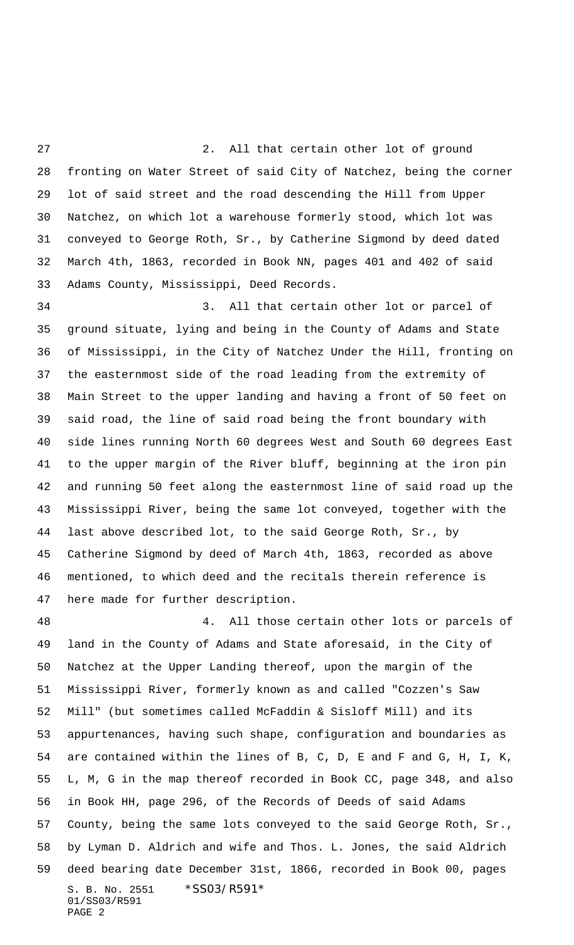2. All that certain other lot of ground fronting on Water Street of said City of Natchez, being the corner lot of said street and the road descending the Hill from Upper Natchez, on which lot a warehouse formerly stood, which lot was conveyed to George Roth, Sr., by Catherine Sigmond by deed dated March 4th, 1863, recorded in Book NN, pages 401 and 402 of said Adams County, Mississippi, Deed Records.

 3. All that certain other lot or parcel of ground situate, lying and being in the County of Adams and State of Mississippi, in the City of Natchez Under the Hill, fronting on the easternmost side of the road leading from the extremity of Main Street to the upper landing and having a front of 50 feet on said road, the line of said road being the front boundary with side lines running North 60 degrees West and South 60 degrees East to the upper margin of the River bluff, beginning at the iron pin and running 50 feet along the easternmost line of said road up the Mississippi River, being the same lot conveyed, together with the last above described lot, to the said George Roth, Sr., by Catherine Sigmond by deed of March 4th, 1863, recorded as above mentioned, to which deed and the recitals therein reference is here made for further description.

S. B. No. 2551 \*SS03/R591\* 01/SS03/R591 PAGE 2 4. All those certain other lots or parcels of land in the County of Adams and State aforesaid, in the City of Natchez at the Upper Landing thereof, upon the margin of the Mississippi River, formerly known as and called "Cozzen's Saw Mill" (but sometimes called McFaddin & Sisloff Mill) and its appurtenances, having such shape, configuration and boundaries as are contained within the lines of B, C, D, E and F and G, H, I, K, L, M, G in the map thereof recorded in Book CC, page 348, and also in Book HH, page 296, of the Records of Deeds of said Adams County, being the same lots conveyed to the said George Roth, Sr., by Lyman D. Aldrich and wife and Thos. L. Jones, the said Aldrich deed bearing date December 31st, 1866, recorded in Book 00, pages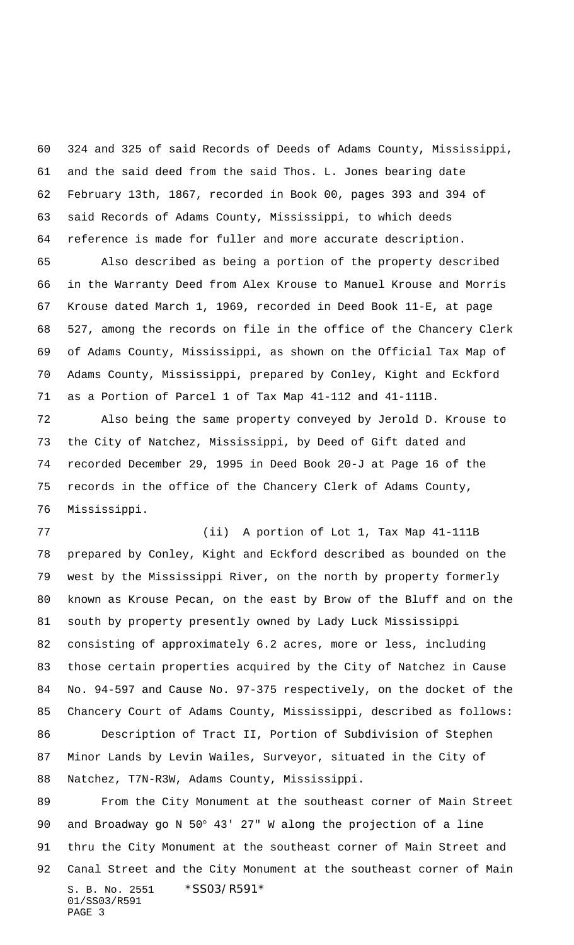324 and 325 of said Records of Deeds of Adams County, Mississippi, and the said deed from the said Thos. L. Jones bearing date February 13th, 1867, recorded in Book 00, pages 393 and 394 of said Records of Adams County, Mississippi, to which deeds reference is made for fuller and more accurate description.

 Also described as being a portion of the property described in the Warranty Deed from Alex Krouse to Manuel Krouse and Morris Krouse dated March 1, 1969, recorded in Deed Book 11-E, at page 527, among the records on file in the office of the Chancery Clerk of Adams County, Mississippi, as shown on the Official Tax Map of Adams County, Mississippi, prepared by Conley, Kight and Eckford as a Portion of Parcel 1 of Tax Map 41-112 and 41-111B.

 Also being the same property conveyed by Jerold D. Krouse to the City of Natchez, Mississippi, by Deed of Gift dated and recorded December 29, 1995 in Deed Book 20-J at Page 16 of the records in the office of the Chancery Clerk of Adams County, Mississippi.

 (ii) A portion of Lot 1, Tax Map 41-111B prepared by Conley, Kight and Eckford described as bounded on the west by the Mississippi River, on the north by property formerly known as Krouse Pecan, on the east by Brow of the Bluff and on the south by property presently owned by Lady Luck Mississippi consisting of approximately 6.2 acres, more or less, including those certain properties acquired by the City of Natchez in Cause No. 94-597 and Cause No. 97-375 respectively, on the docket of the Chancery Court of Adams County, Mississippi, described as follows: Description of Tract II, Portion of Subdivision of Stephen

 Minor Lands by Levin Wailes, Surveyor, situated in the City of Natchez, T7N-R3W, Adams County, Mississippi.

S. B. No. 2551 \*SS03/R591\* 01/SS03/R591 PAGE 3 From the City Monument at the southeast corner of Main Street and Broadway go N 50° 43' 27" W along the projection of a line thru the City Monument at the southeast corner of Main Street and Canal Street and the City Monument at the southeast corner of Main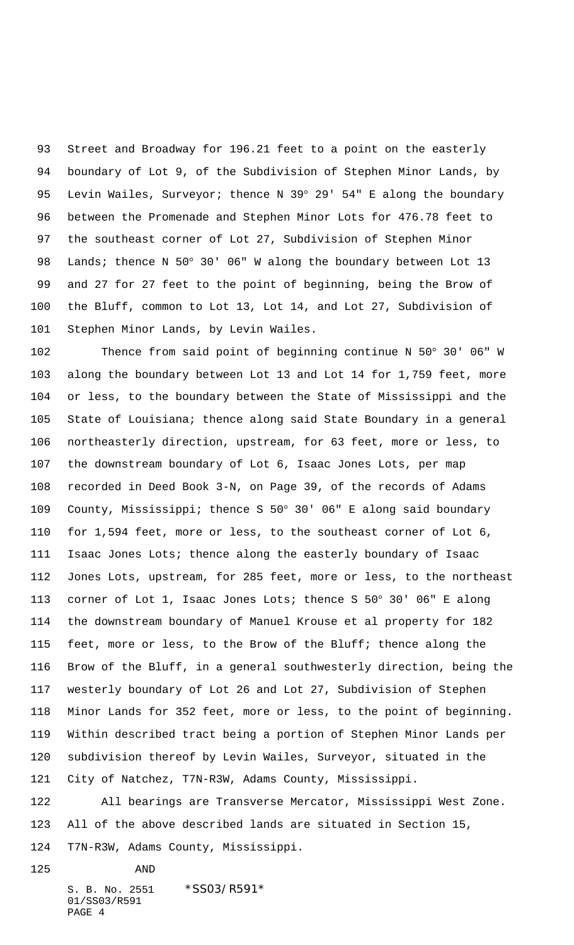Street and Broadway for 196.21 feet to a point on the easterly boundary of Lot 9, of the Subdivision of Stephen Minor Lands, by 95 Levin Wailes, Surveyor; thence N 39° 29' 54" E along the boundary between the Promenade and Stephen Minor Lots for 476.78 feet to the southeast corner of Lot 27, Subdivision of Stephen Minor Lands; thence N 50° 30' 06" W along the boundary between Lot 13 and 27 for 27 feet to the point of beginning, being the Brow of the Bluff, common to Lot 13, Lot 14, and Lot 27, Subdivision of Stephen Minor Lands, by Levin Wailes.

 Thence from said point of beginning continue N 50° 30' 06" W along the boundary between Lot 13 and Lot 14 for 1,759 feet, more or less, to the boundary between the State of Mississippi and the State of Louisiana; thence along said State Boundary in a general northeasterly direction, upstream, for 63 feet, more or less, to the downstream boundary of Lot 6, Isaac Jones Lots, per map recorded in Deed Book 3-N, on Page 39, of the records of Adams County, Mississippi; thence S 50° 30' 06" E along said boundary for 1,594 feet, more or less, to the southeast corner of Lot 6, Isaac Jones Lots; thence along the easterly boundary of Isaac Jones Lots, upstream, for 285 feet, more or less, to the northeast corner of Lot 1, Isaac Jones Lots; thence S 50° 30' 06" E along the downstream boundary of Manuel Krouse et al property for 182 feet, more or less, to the Brow of the Bluff; thence along the Brow of the Bluff, in a general southwesterly direction, being the westerly boundary of Lot 26 and Lot 27, Subdivision of Stephen Minor Lands for 352 feet, more or less, to the point of beginning. Within described tract being a portion of Stephen Minor Lands per subdivision thereof by Levin Wailes, Surveyor, situated in the City of Natchez, T7N-R3W, Adams County, Mississippi.

 All bearings are Transverse Mercator, Mississippi West Zone. All of the above described lands are situated in Section 15, T7N-R3W, Adams County, Mississippi.

S. B. No. 2551 \*SS03/R591\* 01/SS03/R591 PAGE 4

AND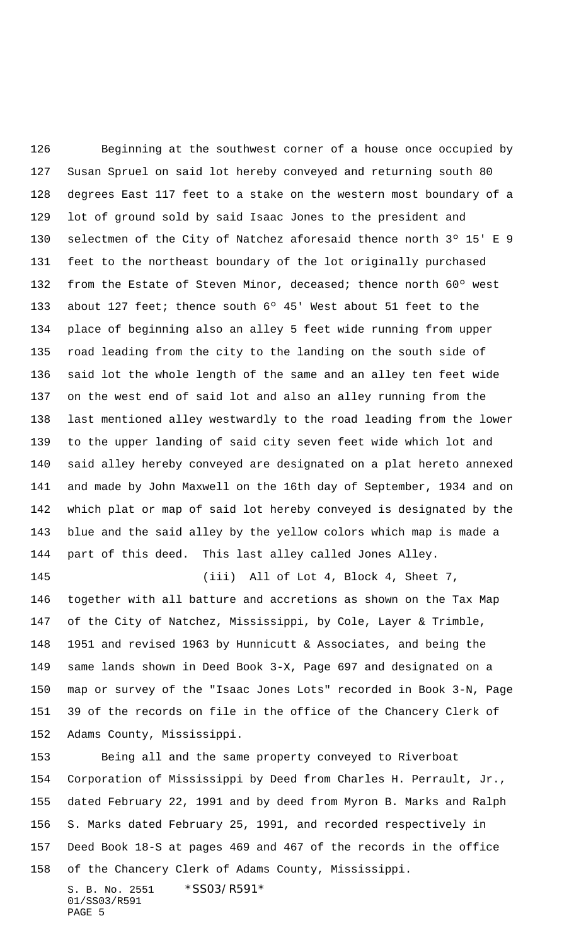Beginning at the southwest corner of a house once occupied by Susan Spruel on said lot hereby conveyed and returning south 80 degrees East 117 feet to a stake on the western most boundary of a lot of ground sold by said Isaac Jones to the president and selectmen of the City of Natchez aforesaid thence north 3º 15' E 9 feet to the northeast boundary of the lot originally purchased 132 from the Estate of Steven Minor, deceased; thence north 60° west about 127 feet; thence south 6º 45' West about 51 feet to the place of beginning also an alley 5 feet wide running from upper road leading from the city to the landing on the south side of said lot the whole length of the same and an alley ten feet wide on the west end of said lot and also an alley running from the last mentioned alley westwardly to the road leading from the lower to the upper landing of said city seven feet wide which lot and said alley hereby conveyed are designated on a plat hereto annexed and made by John Maxwell on the 16th day of September, 1934 and on which plat or map of said lot hereby conveyed is designated by the blue and the said alley by the yellow colors which map is made a part of this deed. This last alley called Jones Alley. (iii) All of Lot 4, Block 4, Sheet 7,

 together with all batture and accretions as shown on the Tax Map of the City of Natchez, Mississippi, by Cole, Layer & Trimble, 1951 and revised 1963 by Hunnicutt & Associates, and being the same lands shown in Deed Book 3-X, Page 697 and designated on a map or survey of the "Isaac Jones Lots" recorded in Book 3-N, Page 39 of the records on file in the office of the Chancery Clerk of Adams County, Mississippi.

 Being all and the same property conveyed to Riverboat Corporation of Mississippi by Deed from Charles H. Perrault, Jr., dated February 22, 1991 and by deed from Myron B. Marks and Ralph S. Marks dated February 25, 1991, and recorded respectively in Deed Book 18-S at pages 469 and 467 of the records in the office of the Chancery Clerk of Adams County, Mississippi.

S. B. No. 2551 \*SS03/R591\* 01/SS03/R591 PAGE 5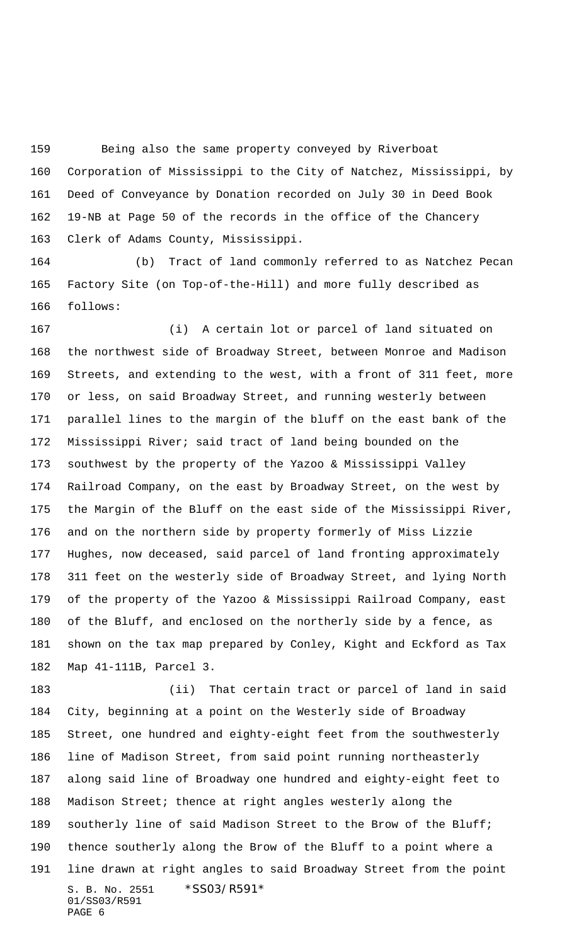Being also the same property conveyed by Riverboat

 Corporation of Mississippi to the City of Natchez, Mississippi, by Deed of Conveyance by Donation recorded on July 30 in Deed Book 19-NB at Page 50 of the records in the office of the Chancery Clerk of Adams County, Mississippi.

 (b) Tract of land commonly referred to as Natchez Pecan Factory Site (on Top-of-the-Hill) and more fully described as follows:

 (i) A certain lot or parcel of land situated on the northwest side of Broadway Street, between Monroe and Madison Streets, and extending to the west, with a front of 311 feet, more or less, on said Broadway Street, and running westerly between parallel lines to the margin of the bluff on the east bank of the Mississippi River; said tract of land being bounded on the southwest by the property of the Yazoo & Mississippi Valley Railroad Company, on the east by Broadway Street, on the west by the Margin of the Bluff on the east side of the Mississippi River, and on the northern side by property formerly of Miss Lizzie Hughes, now deceased, said parcel of land fronting approximately 311 feet on the westerly side of Broadway Street, and lying North of the property of the Yazoo & Mississippi Railroad Company, east of the Bluff, and enclosed on the northerly side by a fence, as shown on the tax map prepared by Conley, Kight and Eckford as Tax Map 41-111B, Parcel 3.

S. B. No. 2551 \*SS03/R591\* 01/SS03/R591 PAGE 6 (ii) That certain tract or parcel of land in said City, beginning at a point on the Westerly side of Broadway Street, one hundred and eighty-eight feet from the southwesterly line of Madison Street, from said point running northeasterly along said line of Broadway one hundred and eighty-eight feet to Madison Street; thence at right angles westerly along the southerly line of said Madison Street to the Brow of the Bluff; thence southerly along the Brow of the Bluff to a point where a line drawn at right angles to said Broadway Street from the point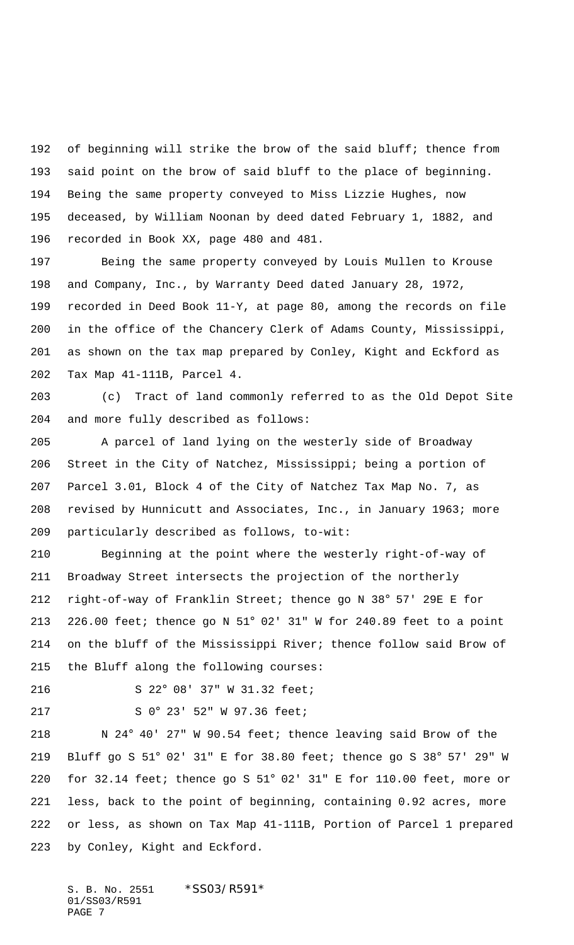of beginning will strike the brow of the said bluff; thence from said point on the brow of said bluff to the place of beginning. Being the same property conveyed to Miss Lizzie Hughes, now deceased, by William Noonan by deed dated February 1, 1882, and recorded in Book XX, page 480 and 481.

 Being the same property conveyed by Louis Mullen to Krouse and Company, Inc., by Warranty Deed dated January 28, 1972, recorded in Deed Book 11-Y, at page 80, among the records on file in the office of the Chancery Clerk of Adams County, Mississippi, as shown on the tax map prepared by Conley, Kight and Eckford as Tax Map 41-111B, Parcel 4.

 (c) Tract of land commonly referred to as the Old Depot Site and more fully described as follows:

 A parcel of land lying on the westerly side of Broadway Street in the City of Natchez, Mississippi; being a portion of Parcel 3.01, Block 4 of the City of Natchez Tax Map No. 7, as revised by Hunnicutt and Associates, Inc., in January 1963; more particularly described as follows, to-wit:

 Beginning at the point where the westerly right-of-way of Broadway Street intersects the projection of the northerly right-of-way of Franklin Street; thence go N 38° 57' 29E E for 226.00 feet; thence go N 51° 02' 31" W for 240.89 feet to a point on the bluff of the Mississippi River; thence follow said Brow of the Bluff along the following courses:

S 22° 08' 37" W 31.32 feet;

S 0° 23' 52" W 97.36 feet;

 N 24° 40' 27" W 90.54 feet; thence leaving said Brow of the Bluff go S 51° 02' 31" E for 38.80 feet; thence go S 38° 57' 29" W for 32.14 feet; thence go S 51° 02' 31" E for 110.00 feet, more or less, back to the point of beginning, containing 0.92 acres, more or less, as shown on Tax Map 41-111B, Portion of Parcel 1 prepared by Conley, Kight and Eckford.

S. B. No. 2551 \*SS03/R591\* 01/SS03/R591 PAGE 7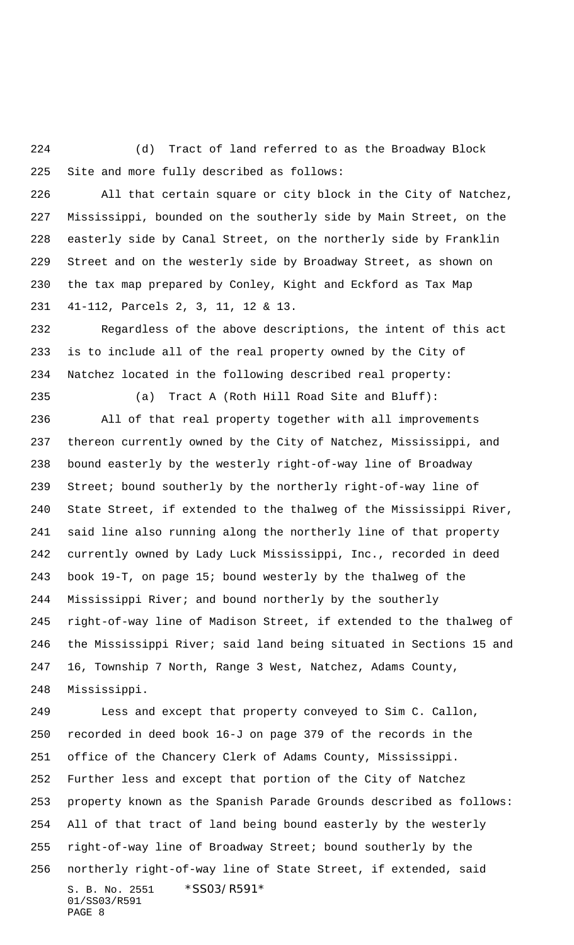(d) Tract of land referred to as the Broadway Block Site and more fully described as follows:

 All that certain square or city block in the City of Natchez, Mississippi, bounded on the southerly side by Main Street, on the easterly side by Canal Street, on the northerly side by Franklin Street and on the westerly side by Broadway Street, as shown on the tax map prepared by Conley, Kight and Eckford as Tax Map 41-112, Parcels 2, 3, 11, 12 & 13.

 Regardless of the above descriptions, the intent of this act is to include all of the real property owned by the City of Natchez located in the following described real property:

(a) Tract A (Roth Hill Road Site and Bluff):

 All of that real property together with all improvements thereon currently owned by the City of Natchez, Mississippi, and bound easterly by the westerly right-of-way line of Broadway Street; bound southerly by the northerly right-of-way line of State Street, if extended to the thalweg of the Mississippi River, said line also running along the northerly line of that property currently owned by Lady Luck Mississippi, Inc., recorded in deed book 19-T, on page 15; bound westerly by the thalweg of the Mississippi River; and bound northerly by the southerly right-of-way line of Madison Street, if extended to the thalweg of the Mississippi River; said land being situated in Sections 15 and 16, Township 7 North, Range 3 West, Natchez, Adams County, Mississippi.

S. B. No. 2551 \*SS03/R591\* 01/SS03/R591 PAGE 8 Less and except that property conveyed to Sim C. Callon, recorded in deed book 16-J on page 379 of the records in the office of the Chancery Clerk of Adams County, Mississippi. Further less and except that portion of the City of Natchez property known as the Spanish Parade Grounds described as follows: All of that tract of land being bound easterly by the westerly right-of-way line of Broadway Street; bound southerly by the northerly right-of-way line of State Street, if extended, said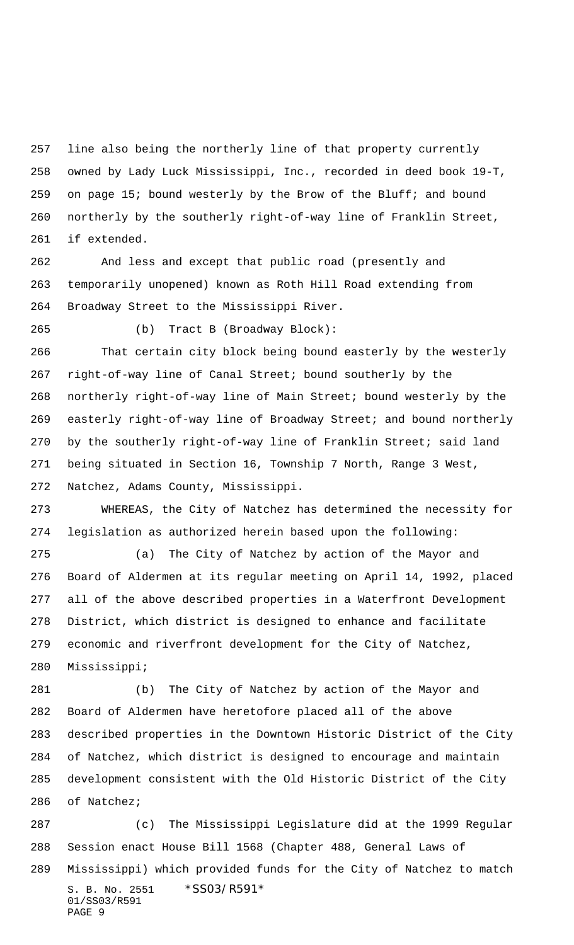line also being the northerly line of that property currently owned by Lady Luck Mississippi, Inc., recorded in deed book 19-T, on page 15; bound westerly by the Brow of the Bluff; and bound northerly by the southerly right-of-way line of Franklin Street, if extended.

 And less and except that public road (presently and temporarily unopened) known as Roth Hill Road extending from Broadway Street to the Mississippi River.

(b) Tract B (Broadway Block):

 That certain city block being bound easterly by the westerly right-of-way line of Canal Street; bound southerly by the northerly right-of-way line of Main Street; bound westerly by the easterly right-of-way line of Broadway Street; and bound northerly by the southerly right-of-way line of Franklin Street; said land being situated in Section 16, Township 7 North, Range 3 West, Natchez, Adams County, Mississippi.

 WHEREAS, the City of Natchez has determined the necessity for legislation as authorized herein based upon the following:

 (a) The City of Natchez by action of the Mayor and Board of Aldermen at its regular meeting on April 14, 1992, placed all of the above described properties in a Waterfront Development District, which district is designed to enhance and facilitate economic and riverfront development for the City of Natchez, Mississippi;

 (b) The City of Natchez by action of the Mayor and Board of Aldermen have heretofore placed all of the above described properties in the Downtown Historic District of the City of Natchez, which district is designed to encourage and maintain development consistent with the Old Historic District of the City of Natchez;

S. B. No. 2551 \*SS03/R591\* 01/SS03/R591 PAGE 9 (c) The Mississippi Legislature did at the 1999 Regular Session enact House Bill 1568 (Chapter 488, General Laws of Mississippi) which provided funds for the City of Natchez to match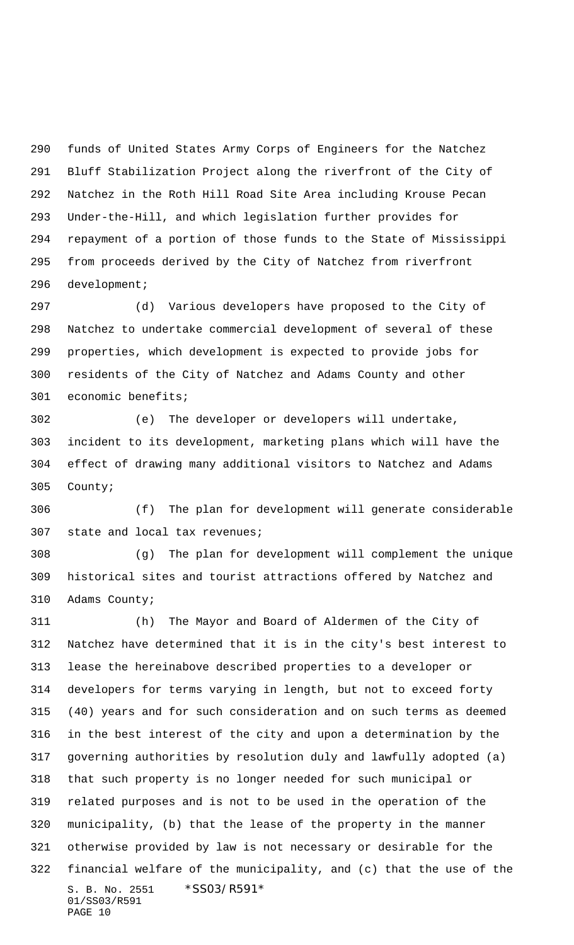funds of United States Army Corps of Engineers for the Natchez Bluff Stabilization Project along the riverfront of the City of Natchez in the Roth Hill Road Site Area including Krouse Pecan Under-the-Hill, and which legislation further provides for repayment of a portion of those funds to the State of Mississippi from proceeds derived by the City of Natchez from riverfront development;

 (d) Various developers have proposed to the City of Natchez to undertake commercial development of several of these properties, which development is expected to provide jobs for residents of the City of Natchez and Adams County and other economic benefits;

 (e) The developer or developers will undertake, incident to its development, marketing plans which will have the effect of drawing many additional visitors to Natchez and Adams County;

 (f) The plan for development will generate considerable state and local tax revenues;

 (g) The plan for development will complement the unique historical sites and tourist attractions offered by Natchez and Adams County;

S. B. No. 2551 \*SS03/R591\* 01/SS03/R591 PAGE 10 (h) The Mayor and Board of Aldermen of the City of Natchez have determined that it is in the city's best interest to lease the hereinabove described properties to a developer or developers for terms varying in length, but not to exceed forty (40) years and for such consideration and on such terms as deemed in the best interest of the city and upon a determination by the governing authorities by resolution duly and lawfully adopted (a) that such property is no longer needed for such municipal or related purposes and is not to be used in the operation of the municipality, (b) that the lease of the property in the manner otherwise provided by law is not necessary or desirable for the financial welfare of the municipality, and (c) that the use of the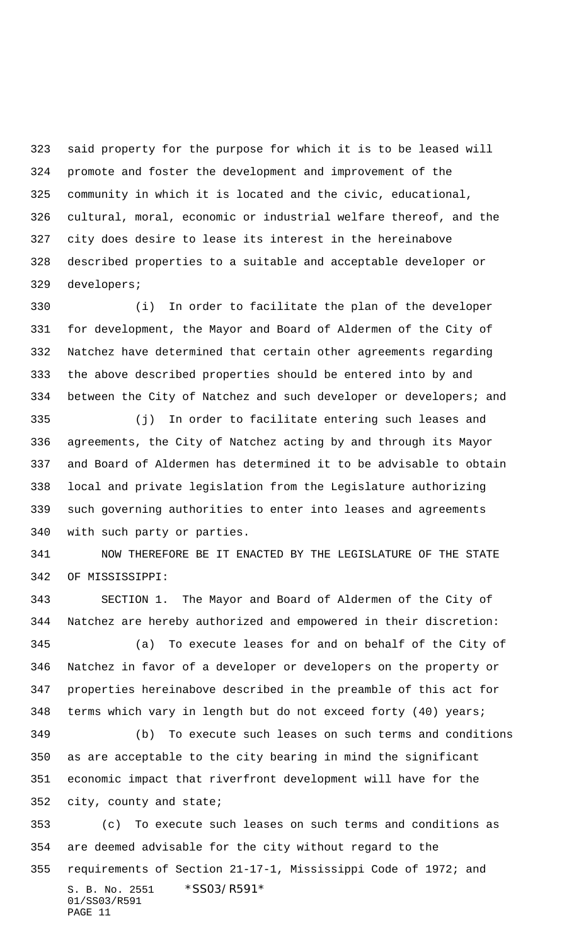said property for the purpose for which it is to be leased will promote and foster the development and improvement of the community in which it is located and the civic, educational, cultural, moral, economic or industrial welfare thereof, and the city does desire to lease its interest in the hereinabove described properties to a suitable and acceptable developer or developers;

 (i) In order to facilitate the plan of the developer for development, the Mayor and Board of Aldermen of the City of Natchez have determined that certain other agreements regarding the above described properties should be entered into by and between the City of Natchez and such developer or developers; and

 (j) In order to facilitate entering such leases and agreements, the City of Natchez acting by and through its Mayor and Board of Aldermen has determined it to be advisable to obtain local and private legislation from the Legislature authorizing such governing authorities to enter into leases and agreements with such party or parties.

 NOW THEREFORE BE IT ENACTED BY THE LEGISLATURE OF THE STATE OF MISSISSIPPI:

 SECTION 1. The Mayor and Board of Aldermen of the City of Natchez are hereby authorized and empowered in their discretion: (a) To execute leases for and on behalf of the City of Natchez in favor of a developer or developers on the property or properties hereinabove described in the preamble of this act for terms which vary in length but do not exceed forty (40) years; (b) To execute such leases on such terms and conditions as are acceptable to the city bearing in mind the significant

 economic impact that riverfront development will have for the city, county and state;

S. B. No. 2551 \*SS03/R591\* 01/SS03/R591 PAGE 11 (c) To execute such leases on such terms and conditions as are deemed advisable for the city without regard to the requirements of Section 21-17-1, Mississippi Code of 1972; and